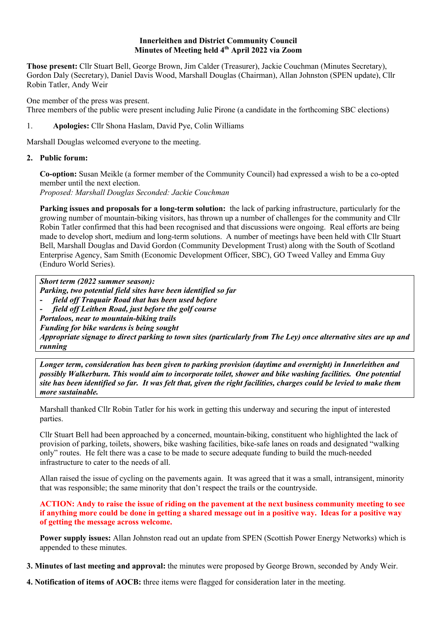## **Innerleithen and District Community Council Minutes of Meeting held 4th April 2022 via Zoom**

**Those present:** Cllr Stuart Bell, George Brown, Jim Calder (Treasurer), Jackie Couchman (Minutes Secretary), Gordon Daly (Secretary), Daniel Davis Wood, Marshall Douglas (Chairman), Allan Johnston (SPEN update), Cllr Robin Tatler, Andy Weir

One member of the press was present. Three members of the public were present including Julie Pirone (a candidate in the forthcoming SBC elections)

## 1. **Apologies:** Cllr Shona Haslam, David Pye, Colin Williams

Marshall Douglas welcomed everyone to the meeting.

## **2. Public forum:**

**Co-option:** Susan Meikle (a former member of the Community Council) had expressed a wish to be a co-opted member until the next election.

*Proposed: Marshall Douglas Seconded: Jackie Couchman* 

**Parking issues and proposals for a long-term solution:** the lack of parking infrastructure, particularly for the growing number of mountain-biking visitors, has thrown up a number of challenges for the community and Cllr Robin Tatler confirmed that this had been recognised and that discussions were ongoing. Real efforts are being made to develop short, medium and long-term solutions. A number of meetings have been held with Cllr Stuart Bell, Marshall Douglas and David Gordon (Community Development Trust) along with the South of Scotland Enterprise Agency, Sam Smith (Economic Development Officer, SBC), GO Tweed Valley and Emma Guy (Enduro World Series).

*Short term (2022 summer season): Parking, two potential field sites have been identified so far*  **-** *field off Traquair Road that has been used before* **-** *field off Leithen Road, just before the golf course Portaloos, near to mountain-biking trails Funding for bike wardens is being sought Appropriate signage to direct parking to town sites (particularly from The Ley) once alternative sites are up and running*

*Longer term, consideration has been given to parking provision (daytime and overnight) in Innerleithen and possibly Walkerburn. This would aim to incorporate toilet, shower and bike washing facilities. One potential site has been identified so far. It was felt that, given the right facilities, charges could be levied to make them more sustainable.*

Marshall thanked Cllr Robin Tatler for his work in getting this underway and securing the input of interested parties.

Cllr Stuart Bell had been approached by a concerned, mountain-biking, constituent who highlighted the lack of provision of parking, toilets, showers, bike washing facilities, bike-safe lanes on roads and designated "walking only" routes. He felt there was a case to be made to secure adequate funding to build the much-needed infrastructure to cater to the needs of all.

Allan raised the issue of cycling on the pavements again. It was agreed that it was a small, intransigent, minority that was responsible; the same minority that don't respect the trails or the countryside.

**ACTION: Andy to raise the issue of riding on the pavement at the next business community meeting to see if anything more could be done in getting a shared message out in a positive way. Ideas for a positive way of getting the message across welcome.**

**Power supply issues:** Allan Johnston read out an update from SPEN (Scottish Power Energy Networks) which is appended to these minutes.

**3. Minutes of last meeting and approval:** the minutes were proposed by George Brown, seconded by Andy Weir.

**4. Notification of items of AOCB:** three items were flagged for consideration later in the meeting.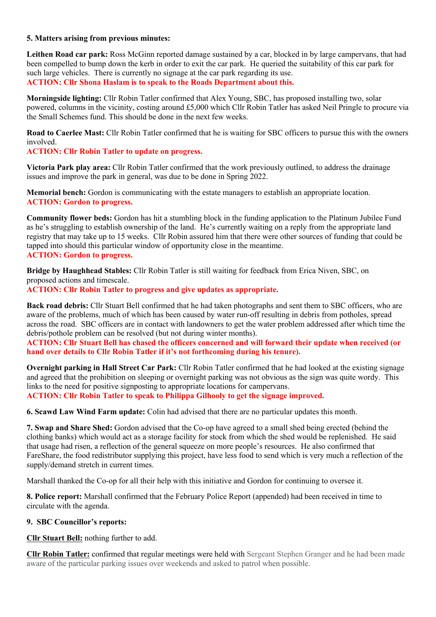#### **5. Matters arising from previous minutes:**

**Leithen Road car park:** Ross McGinn reported damage sustained by a car, blocked in by large campervans, that had been compelled to bump down the kerb in order to exit the car park. He queried the suitability of this car park for such large vehicles. There is currently no signage at the car park regarding its use. **ACTION: Cllr Shona Haslam is to speak to the Roads Department about this.**

**Morningside lighting:** Cllr Robin Tatler confirmed that Alex Young, SBC, has proposed installing two, solar powered, columns in the vicinity, costing around £5,000 which Cllr Robin Tatler has asked Neil Pringle to procure via the Small Schemes fund. This should be done in the next few weeks.

**Road to Caerlee Mast:** Cllr Robin Tatler confirmed that he is waiting for SBC officers to pursue this with the owners involved.

### **ACTION: Cllr Robin Tatler to update on progress.**

**Victoria Park play area:** Cllr Robin Tatler confirmed that the work previously outlined, to address the drainage issues and improve the park in general, was due to be done in Spring 2022.

**Memorial bench:** Gordon is communicating with the estate managers to establish an appropriate location. **ACTION: Gordon to progress.** 

**Community flower beds:** Gordon has hit a stumbling block in the funding application to the Platinum Jubilee Fund as he's struggling to establish ownership of the land. He's currently waiting on a reply from the appropriate land registry that may take up to 15 weeks. Cllr Robin assured him that there were other sources of funding that could be tapped into should this particular window of opportunity close in the meantime.

## **ACTION: Gordon to progress.**

**Bridge by Haughhead Stables:** Cllr Robin Tatler is still waiting for feedback from Erica Niven, SBC, on proposed actions and timescale.

**ACTION: Cllr Robin Tatler to progress and give updates as appropriate.**

**Back road debris:** Cllr Stuart Bell confirmed that he had taken photographs and sent them to SBC officers, who are aware of the problems, much of which has been caused by water run-off resulting in debris from potholes, spread across the road. SBC officers are in contact with landowners to get the water problem addressed after which time the debris/pothole problem can be resolved (but not during winter months).

**ACTION: Cllr Stuart Bell has chased the officers concerned and will forward their update when received (or hand over details to Cllr Robin Tatler if it's not forthcoming during his tenure).**

**Overnight parking in Hall Street Car Park:** Cllr Robin Tatler confirmed that he had looked at the existing signage and agreed that the prohibition on sleeping or overnight parking was not obvious as the sign was quite wordy. This links to the need for positive signposting to appropriate locations for campervans.

**ACTION: Cllr Robin Tatler to speak to Philippa Gilhooly to get the signage improved.**

**6. Scawd Law Wind Farm update:** Colin had advised that there are no particular updates this month.

**7. Swap and Share Shed:** Gordon advised that the Co-op have agreed to a small shed being erected (behind the clothing banks) which would act as a storage facility for stock from which the shed would be replenished. He said that usage had risen, a reflection of the general squeeze on more people's resources. He also confirmed that FareShare, the food redistributor supplying this project, have less food to send which is very much a reflection of the supply/demand stretch in current times.

Marshall thanked the Co-op for all their help with this initiative and Gordon for continuing to oversee it.

**8. Police report:** Marshall confirmed that the February Police Report (appended) had been received in time to circulate with the agenda.

#### **9. SBC Councillor's reports:**

**Cllr Stuart Bell:** nothing further to add.

**Cllr Robin Tatler:** confirmed that regular meetings were held with Sergeant Stephen Granger and he had been made aware of the particular parking issues over weekends and asked to patrol when possible.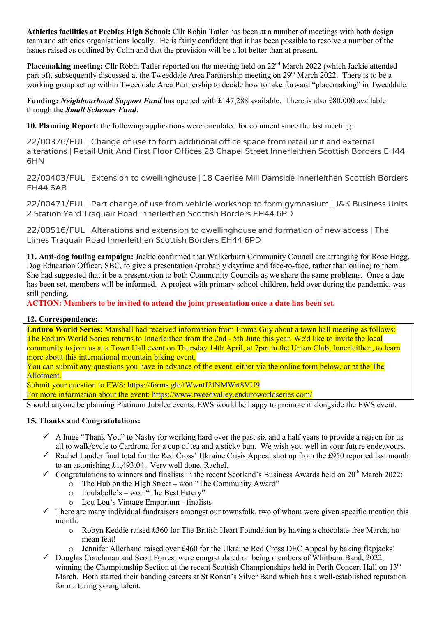**Athletics facilities at Peebles High School:** Cllr Robin Tatler has been at a number of meetings with both design team and athletics organisations locally. He is fairly confident that it has been possible to resolve a number of the issues raised as outlined by Colin and that the provision will be a lot better than at present.

**Placemaking meeting:** Cllr Robin Tatler reported on the meeting held on 22<sup>nd</sup> March 2022 (which Jackie attended part of), subsequently discussed at the Tweeddale Area Partnership meeting on 29<sup>th</sup> March 2022. There is to be a working group set up within Tweeddale Area Partnership to decide how to take forward "placemaking" in Tweeddale.

**Funding:** *Neighbourhood Support Fund* has opened with £147,288 available. There is also £80,000 available through the *Small Schemes Fund*.

**10. Planning Report:** the following applications were circulated for comment since the last meeting:

22/00376/FUL | Change of use to form additional office space from retail unit and external alterations | Retail Unit And First Floor Offices 28 Chapel Street Innerleithen Scottish Borders EH44 6HN

22/00403/FUL | Extension to dwellinghouse | 18 Caerlee Mill Damside Innerleithen Scottish Borders EH44 6AB

22/00471/FUL | Part change of use from vehicle workshop to form gymnasium | J&K Business Units 2 Station Yard Traquair Road Innerleithen Scottish Borders EH44 6PD

22/00516/FUL | Alterations and extension to dwellinghouse and formation of new access | The Limes Traquair Road Innerleithen Scottish Borders EH44 6PD

**11. Anti-dog fouling campaign:** Jackie confirmed that Walkerburn Community Council are arranging for Rose Hogg, Dog Education Officer, SBC, to give a presentation (probably daytime and face-to-face, rather than online) to them. She had suggested that it be a presentation to both Community Councils as we share the same problems. Once a date has been set, members will be informed. A project with primary school children, held over during the pandemic, was still pending.

**ACTION: Members to be invited to attend the joint presentation once a date has been set.** 

## **12. Correspondence:**

**Enduro World Series:** Marshall had received information from Emma Guy about a town hall meeting as follows: The Enduro World Series returns to Innerleithen from the 2nd - 5th June this year. We'd like to invite the local community to join us at a Town Hall event on Thursday 14th April, at 7pm in the Union Club, Innerleithen, to learn more about this international mountain biking event.

You can submit any questions you have in advance of the event, either via the online form below, or at the The Allotment.

Submit your question to EWS: https://forms.gle/tWwntJ2fNMWrt8VU9

For more information about the event: https://www.tweedvalley.enduroworldseries.com/

Should anyone be planning Platinum Jubilee events, EWS would be happy to promote it alongside the EWS event.

## **15. Thanks and Congratulations:**

- $\checkmark$  A huge "Thank You" to Nashy for working hard over the past six and a half years to provide a reason for us all to walk/cycle to Cardrona for a cup of tea and a sticky bun. We wish you well in your future endeavours.
- $\checkmark$  Rachel Lauder final total for the Red Cross' Ukraine Crisis Appeal shot up from the £950 reported last month to an astonishing £1,493.04. Very well done, Rachel.
- $\checkmark$  Congratulations to winners and finalists in the recent Scotland's Business Awards held on 20<sup>th</sup> March 2022:
	- o The Hub on the High Street won "The Community Award"
		- o Loulabelle's won "The Best Eatery"
		- o Lou Lou's Vintage Emporium finalists
- $\checkmark$  There are many individual fundraisers amongst our townsfolk, two of whom were given specific mention this month:
	- o Robyn Keddie raised £360 for The British Heart Foundation by having a chocolate-free March; no mean feat!
	- o Jennifer Allerhand raised over £460 for the Ukraine Red Cross DEC Appeal by baking flapjacks!
- $\checkmark$  Douglas Couchman and Scott Forrest were congratulated on being members of Whitburn Band, 2022, winning the Championship Section at the recent Scottish Championships held in Perth Concert Hall on 13<sup>th</sup> March. Both started their banding careers at St Ronan's Silver Band which has a well-established reputation for nurturing young talent.